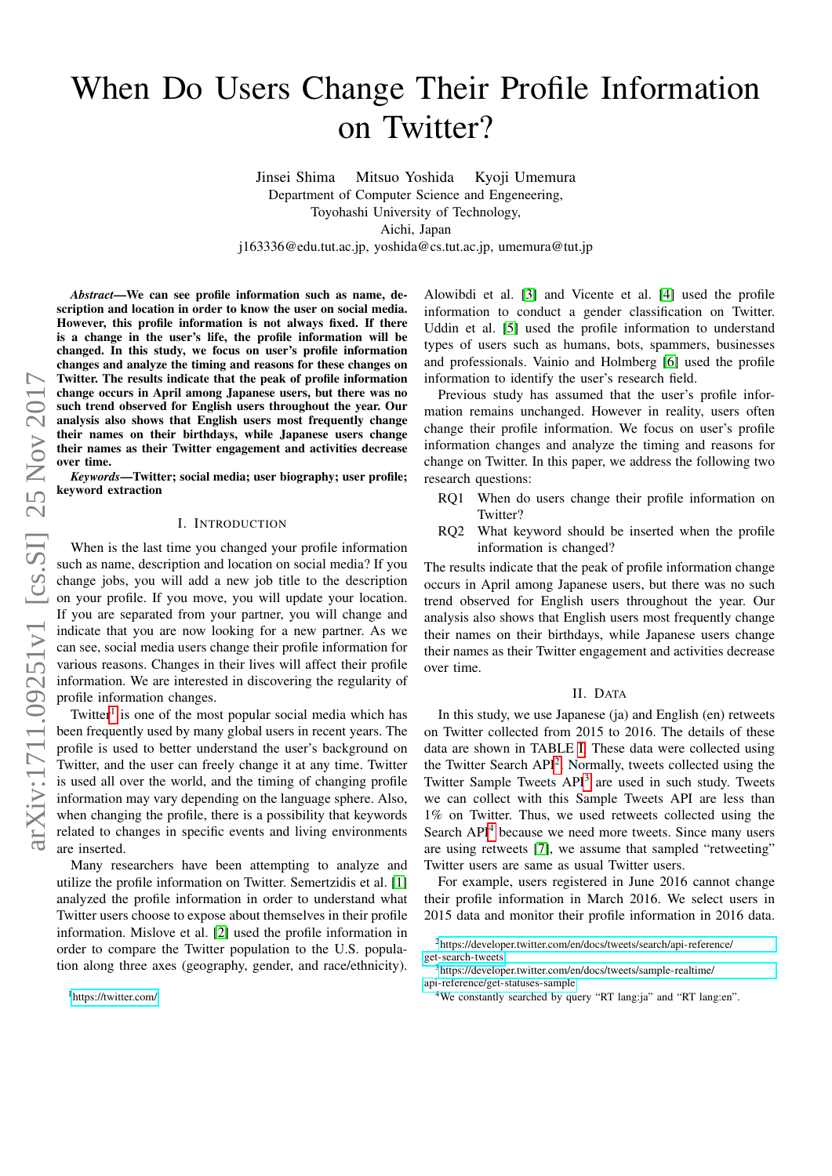# When Do Users Change Their Profile Information on Twitter?

Jinsei Shima Mitsuo Yoshida Kyoji Umemura Department of Computer Science and Engeneering, Toyohashi University of Technology, Aichi, Japan

j163336@edu.tut.ac.jp, yoshida@cs.tut.ac.jp, umemura@tut.jp

*Abstract*—We can see profile information such as name, description and location in order to know the user on social media. However, this profile information is not always fixed. If there is a change in the user's life, the profile information will be changed. In this study, we focus on user's profile information changes and analyze the timing and reasons for these changes on Twitter. The results indicate that the peak of profile information change occurs in April among Japanese users, but there was no such trend observed for English users throughout the year. Our analysis also shows that English users most frequently change their names on their birthdays, while Japanese users change their names as their Twitter engagement and activities decrease over time.

*Keywords*—Twitter; social media; user biography; user profile; keyword extraction

#### I. INTRODUCTION

When is the last time you changed your profile information such as name, description and location on social media? If you change jobs, you will add a new job title to the description on your profile. If you move, you will update your location. If you are separated from your partner, you will change and indicate that you are now looking for a new partner. As we can see, social media users change their profile information for various reasons. Changes in their lives will affect their profile information. We are interested in discovering the regularity of profile information changes.

Twitter<sup>[1](#page-0-0)</sup> is one of the most popular social media which has been frequently used by many global users in recent years. The profile is used to better understand the user's background on Twitter, and the user can freely change it at any time. Twitter is used all over the world, and the timing of changing profile information may vary depending on the language sphere. Also, when changing the profile, there is a possibility that keywords related to changes in specific events and living environments are inserted.

Many researchers have been attempting to analyze and utilize the profile information on Twitter. Semertzidis et al. [\[1\]](#page-3-0) analyzed the profile information in order to understand what Twitter users choose to expose about themselves in their profile information. Mislove et al. [\[2\]](#page-3-1) used the profile information in order to compare the Twitter population to the U.S. population along three axes (geography, gender, and race/ethnicity).

<span id="page-0-0"></span><sup>1</sup><https://twitter.com/>

Alowibdi et al. [\[3\]](#page-3-2) and Vicente et al. [\[4\]](#page-3-3) used the profile information to conduct a gender classification on Twitter. Uddin et al. [\[5\]](#page-3-4) used the profile information to understand types of users such as humans, bots, spammers, businesses and professionals. Vainio and Holmberg [\[6\]](#page-3-5) used the profile information to identify the user's research field.

Previous study has assumed that the user's profile information remains unchanged. However in reality, users often change their profile information. We focus on user's profile information changes and analyze the timing and reasons for change on Twitter. In this paper, we address the following two research questions:

- RQ1 When do users change their profile information on Twitter?
- RQ2 What keyword should be inserted when the profile information is changed?

The results indicate that the peak of profile information change occurs in April among Japanese users, but there was no such trend observed for English users throughout the year. Our analysis also shows that English users most frequently change their names on their birthdays, while Japanese users change their names as their Twitter engagement and activities decrease over time.

#### II. DATA

In this study, we use Japanese (ja) and English (en) retweets on Twitter collected from 2015 to 2016. The details of these data are shown in TABLE [I.](#page-1-0) These data were collected using the Twitter Search API<sup>[2](#page-0-1)</sup>. Normally, tweets collected using the Twitter Sample Tweets API<sup>[3](#page-0-2)</sup> are used in such study. Tweets we can collect with this Sample Tweets API are less than 1% on Twitter. Thus, we used retweets collected using the Search API<sup>[4](#page-0-3)</sup> because we need more tweets. Since many users are using retweets [\[7\]](#page-3-6), we assume that sampled "retweeting" Twitter users are same as usual Twitter users.

For example, users registered in June 2016 cannot change their profile information in March 2016. We select users in 2015 data and monitor their profile information in 2016 data.

<span id="page-0-1"></span><sup>2</sup>[https://developer.twitter.com/en/docs/tweets/search/api-reference/](https://developer.twitter.com/en/docs/tweets/search/api-reference/get-search-tweets) [get-search-tweets](https://developer.twitter.com/en/docs/tweets/search/api-reference/get-search-tweets)

<span id="page-0-2"></span><sup>3</sup>[https://developer.twitter.com/en/docs/tweets/sample-realtime/](https://developer.twitter.com/en/docs/tweets/sample-realtime/api-reference/get-statuses-sample)

[api-reference/get-statuses-sample](https://developer.twitter.com/en/docs/tweets/sample-realtime/api-reference/get-statuses-sample)

<span id="page-0-3"></span><sup>4</sup>We constantly searched by query "RT lang:ja" and "RT lang:en".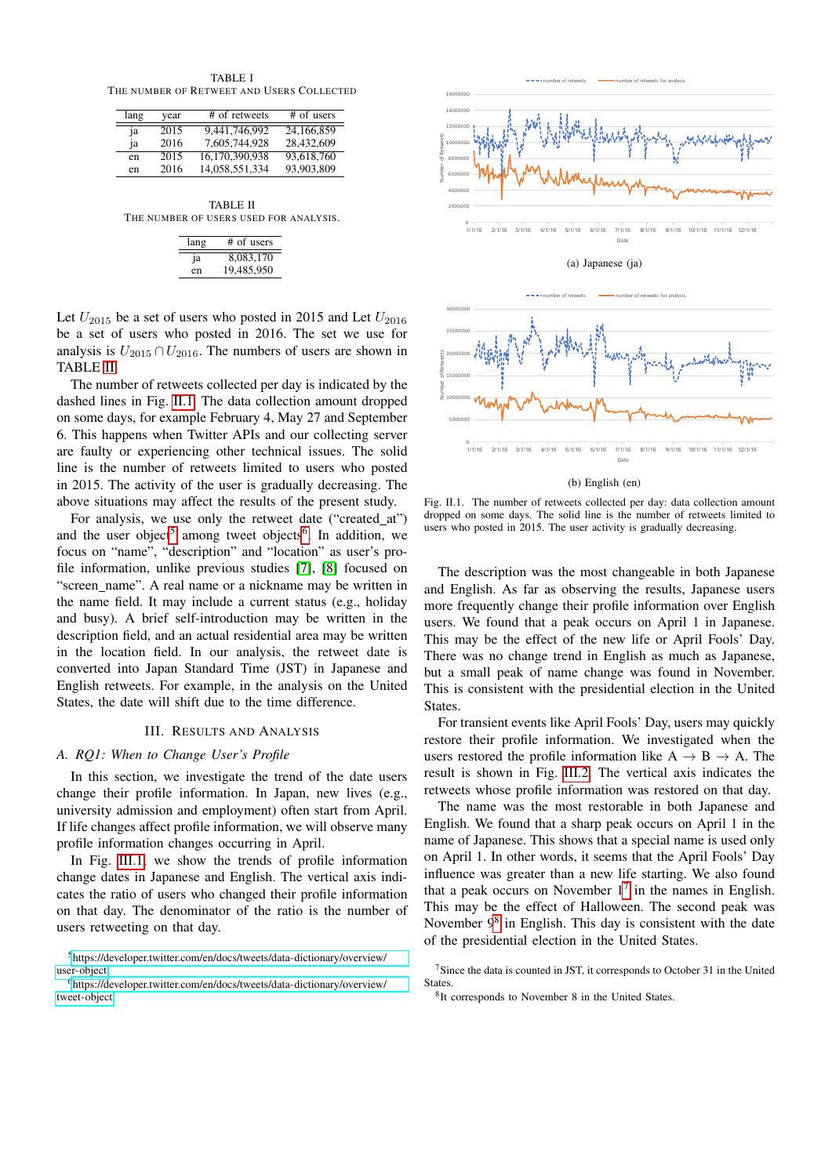<span id="page-1-0"></span>TABLE I THE NUMBER OF RETWEET AND USERS COLLECTED

| lang | year | # of retweets  | # of users |
|------|------|----------------|------------|
| ja   | 2015 | 9,441,746,992  | 24.166.859 |
| ia   | 2016 | 7.605.744.928  | 28.432.609 |
| en   | 2015 | 16,170,390,938 | 93,618,760 |
| en   | 2016 | 14,058,551,334 | 93,903,809 |

<span id="page-1-1"></span>TABLE II THE NUMBER OF USERS USED FOR ANALYSIS.

| lang | # of users |
|------|------------|
| 1a   | 8,083,170  |
| en   | 19,485,950 |

Let  $U_{2015}$  be a set of users who posted in 2015 and Let  $U_{2016}$ be a set of users who posted in 2016. The set we use for analysis is  $U_{2015} \cap U_{2016}$ . The numbers of users are shown in TABLE [II.](#page-1-1)

The number of retweets collected per day is indicated by the dashed lines in Fig. [II.1.](#page-1-2) The data collection amount dropped on some days, for example February 4, May 27 and September 6. This happens when Twitter APIs and our collecting server are faulty or experiencing other technical issues. The solid line is the number of retweets limited to users who posted in 2015. The activity of the user is gradually decreasing. The above situations may affect the results of the present study.

For analysis, we use only the retweet date ("created at") and the user object<sup>[5](#page-1-3)</sup> among tweet objects<sup>[6](#page-1-4)</sup>. In addition, we focus on "name", "description" and "location" as user's profile information, unlike previous studies [\[7\]](#page-3-6), [\[8\]](#page-3-7) focused on "screen name". A real name or a nickname may be written in the name field. It may include a current status (e.g., holiday and busy). A brief self-introduction may be written in the description field, and an actual residential area may be written in the location field. In our analysis, the retweet date is converted into Japan Standard Time (JST) in Japanese and English retweets. For example, in the analysis on the United States, the date will shift due to the time difference.

## III. RESULTS AND ANALYSIS

### *A. RQ1: When to Change User's Profile*

In this section, we investigate the trend of the date users change their profile information. In Japan, new lives (e.g., university admission and employment) often start from April. If life changes affect profile information, we will observe many profile information changes occurring in April.

In Fig. [III.1,](#page-1-2) we show the trends of profile information change dates in Japanese and English. The vertical axis indicates the ratio of users who changed their profile information on that day. The denominator of the ratio is the number of users retweeting on that day.



(b) English (en)

<span id="page-1-2"></span>Fig. II.1. The number of retweets collected per day: data collection amount dropped on some days. The solid line is the number of retweets limited to users who posted in 2015. The user activity is gradually decreasing.

The description was the most changeable in both Japanese and English. As far as observing the results, Japanese users more frequently change their profile information over English users. We found that a peak occurs on April 1 in Japanese. This may be the effect of the new life or April Fools' Day. There was no change trend in English as much as Japanese, but a small peak of name change was found in November. This is consistent with the presidential election in the United States.

For transient events like April Fools' Day, users may quickly restore their profile information. We investigated when the users restored the profile information like  $A \rightarrow B \rightarrow A$ . The result is shown in Fig. [III.2.](#page-2-0) The vertical axis indicates the retweets whose profile information was restored on that day.

The name was the most restorable in both Japanese and English. We found that a sharp peak occurs on April 1 in the name of Japanese. This shows that a special name is used only on April 1. In other words, it seems that the April Fools' Day influence was greater than a new life starting. We also found that a peak occurs on November  $1<sup>7</sup>$  $1<sup>7</sup>$  $1<sup>7</sup>$  in the names in English. This may be the effect of Halloween. The second peak was November  $9<sup>8</sup>$  $9<sup>8</sup>$  $9<sup>8</sup>$  in English. This day is consistent with the date of the presidential election in the United States.

<span id="page-1-3"></span><sup>5</sup>[https://developer.twitter.com/en/docs/tweets/data-dictionary/overview/](https://developer.twitter.com/en/docs/tweets/data-dictionary/overview/user-object) [user-object](https://developer.twitter.com/en/docs/tweets/data-dictionary/overview/user-object)

<span id="page-1-4"></span><sup>6</sup>[https://developer.twitter.com/en/docs/tweets/data-dictionary/overview/](https://developer.twitter.com/en/docs/tweets/data-dictionary/overview/tweet-object) [tweet-object](https://developer.twitter.com/en/docs/tweets/data-dictionary/overview/tweet-object)

<span id="page-1-5"></span><sup>7</sup>Since the data is counted in JST, it corresponds to October 31 in the United States.

<span id="page-1-6"></span><sup>8</sup> It corresponds to November 8 in the United States.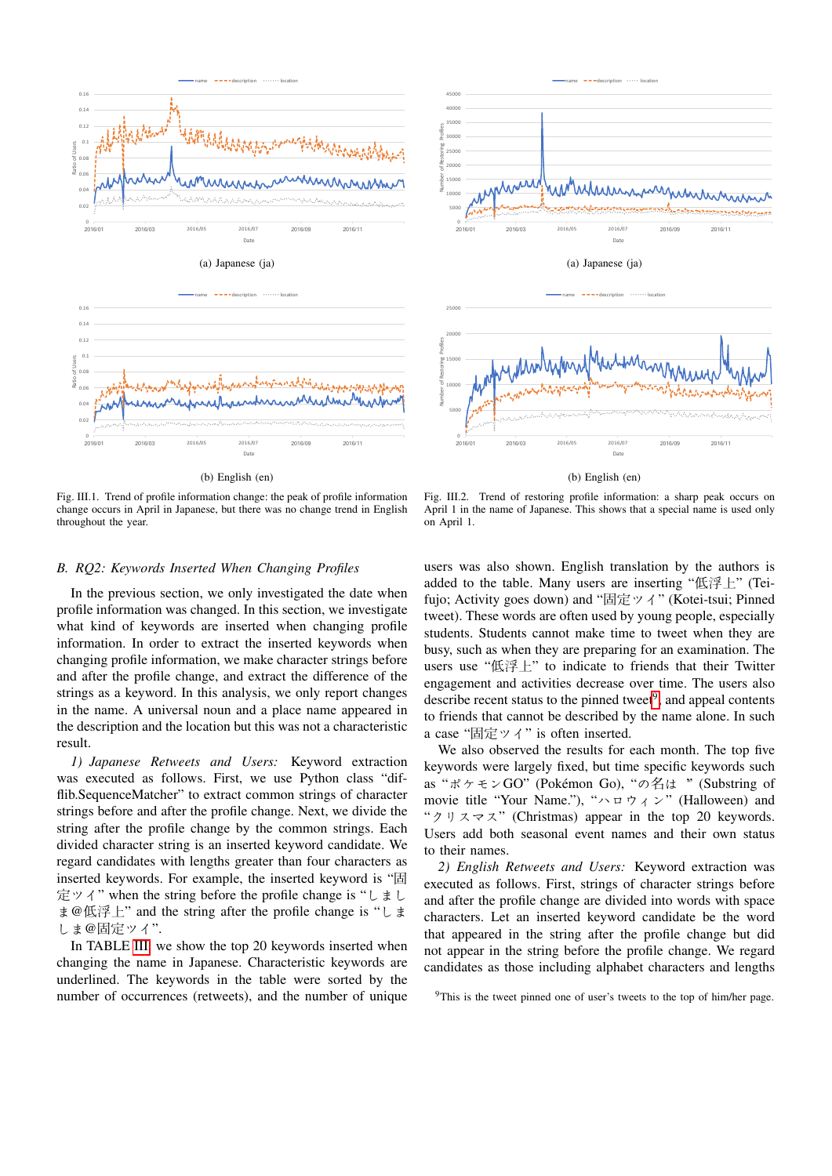



(b) English (en)

Fig. III.1. Trend of profile information change: the peak of profile information change occurs in April in Japanese, but there was no change trend in English throughout the year.

#### *B. RQ2: Keywords Inserted When Changing Profiles*

In the previous section, we only investigated the date when profile information was changed. In this section, we investigate what kind of keywords are inserted when changing profile information. In order to extract the inserted keywords when changing profile information, we make character strings before and after the profile change, and extract the difference of the strings as a keyword. In this analysis, we only report changes in the name. A universal noun and a place name appeared in the description and the location but this was not a characteristic result.

*1) Japanese Retweets and Users:* Keyword extraction was executed as follows. First, we use Python class "difflib.SequenceMatcher" to extract common strings of character strings before and after the profile change. Next, we divide the string after the profile change by the common strings. Each divided character string is an inserted keyword candidate. We regard candidates with lengths greater than four characters as inserted keywords. For example, the inserted keyword is "固 定ツイ" when the string before the profile change is "しまし ま@低浮上" and the string after the profile change is "しま しま@固定ツイ".

In TABLE [III,](#page-3-8) we show the top 20 keywords inserted when changing the name in Japanese. Characteristic keywords are underlined. The keywords in the table were sorted by the number of occurrences (retweets), and the number of unique

<span id="page-2-0"></span>Fig. III.2. Trend of restoring profile information: a sharp peak occurs on April 1 in the name of Japanese. This shows that a special name is used only on April 1.

(b) English (en)

users was also shown. English translation by the authors is added to the table. Many users are inserting "低浮上" (Teifujo; Activity goes down) and "固定ツイ" (Kotei-tsui; Pinned tweet). These words are often used by young people, especially students. Students cannot make time to tweet when they are busy, such as when they are preparing for an examination. The users use "低浮上" to indicate to friends that their Twitter engagement and activities decrease over time. The users also describe recent status to the pinned tweet $9$ , and appeal contents to friends that cannot be described by the name alone. In such a case "固定ツイ" is often inserted.

We also observed the results for each month. The top five keywords were largely fixed, but time specific keywords such as "ポケモンGO" (Pokémon Go), "の名は " (Substring of movie title "Your Name."), " $\sim \pi \nabla \gamma \nabla \gamma$  (Halloween) and "クリスマス" (Christmas) appear in the top 20 keywords. Users add both seasonal event names and their own status to their names.

*2) English Retweets and Users:* Keyword extraction was executed as follows. First, strings of character strings before and after the profile change are divided into words with space characters. Let an inserted keyword candidate be the word that appeared in the string after the profile change but did not appear in the string before the profile change. We regard candidates as those including alphabet characters and lengths

<span id="page-2-1"></span><sup>&</sup>lt;sup>9</sup>This is the tweet pinned one of user's tweets to the top of him/her page.